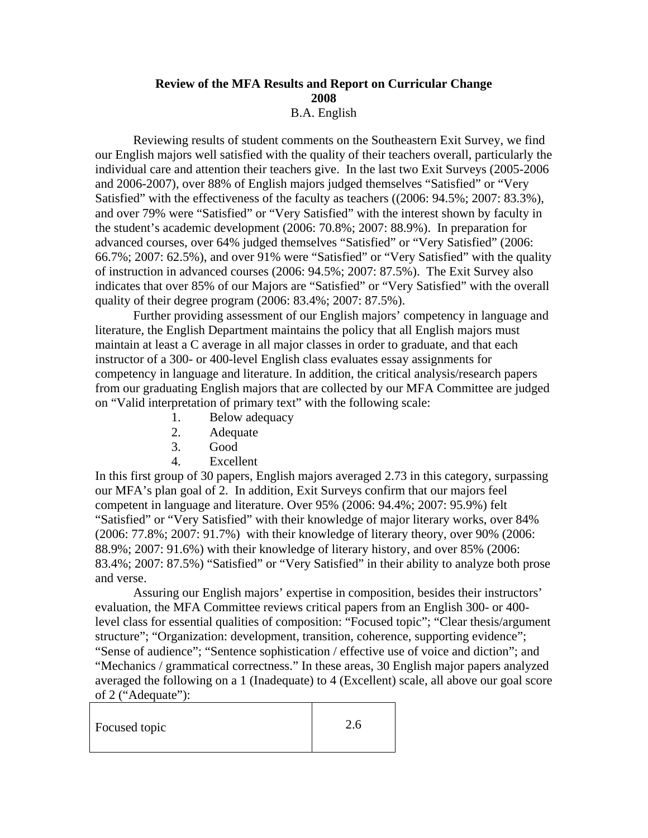## **Review of the MFA Results and Report on Curricular Change 2008**  B.A. English

 Reviewing results of student comments on the Southeastern Exit Survey, we find our English majors well satisfied with the quality of their teachers overall, particularly the individual care and attention their teachers give. In the last two Exit Surveys (2005-2006 and 2006-2007), over 88% of English majors judged themselves "Satisfied" or "Very Satisfied" with the effectiveness of the faculty as teachers ((2006: 94.5%; 2007: 83.3%), and over 79% were "Satisfied" or "Very Satisfied" with the interest shown by faculty in the student's academic development (2006: 70.8%; 2007: 88.9%). In preparation for advanced courses, over 64% judged themselves "Satisfied" or "Very Satisfied" (2006: 66.7%; 2007: 62.5%), and over 91% were "Satisfied" or "Very Satisfied" with the quality of instruction in advanced courses (2006: 94.5%; 2007: 87.5%). The Exit Survey also indicates that over 85% of our Majors are "Satisfied" or "Very Satisfied" with the overall quality of their degree program (2006: 83.4%; 2007: 87.5%).

Further providing assessment of our English majors' competency in language and literature, the English Department maintains the policy that all English majors must maintain at least a C average in all major classes in order to graduate, and that each instructor of a 300- or 400-level English class evaluates essay assignments for competency in language and literature. In addition, the critical analysis/research papers from our graduating English majors that are collected by our MFA Committee are judged on "Valid interpretation of primary text" with the following scale:

- 1. Below adequacy
- 2. Adequate
- 3. Good
- 4. Excellent

In this first group of 30 papers, English majors averaged 2.73 in this category, surpassing our MFA's plan goal of 2. In addition, Exit Surveys confirm that our majors feel competent in language and literature. Over 95% (2006: 94.4%; 2007: 95.9%) felt "Satisfied" or "Very Satisfied" with their knowledge of major literary works, over 84% (2006: 77.8%; 2007: 91.7%) with their knowledge of literary theory, over 90% (2006: 88.9%; 2007: 91.6%) with their knowledge of literary history, and over 85% (2006: 83.4%; 2007: 87.5%) "Satisfied" or "Very Satisfied" in their ability to analyze both prose and verse.

Assuring our English majors' expertise in composition, besides their instructors' evaluation, the MFA Committee reviews critical papers from an English 300- or 400 level class for essential qualities of composition: "Focused topic"; "Clear thesis/argument structure"; "Organization: development, transition, coherence, supporting evidence"; "Sense of audience"; "Sentence sophistication / effective use of voice and diction"; and "Mechanics / grammatical correctness." In these areas, 30 English major papers analyzed averaged the following on a 1 (Inadequate) to 4 (Excellent) scale, all above our goal score of 2 ("Adequate"):

| Focused topic | 2.6 |
|---------------|-----|
|               |     |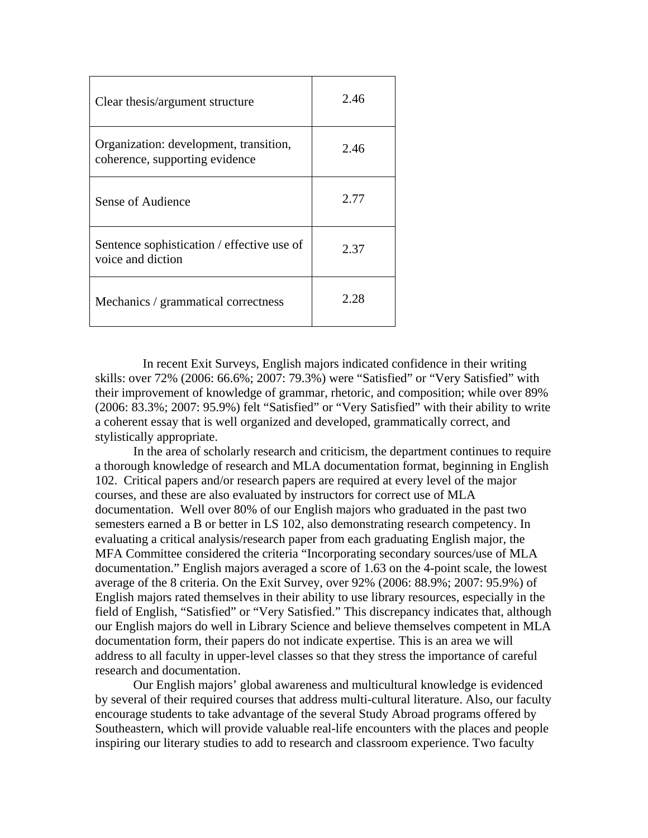| Clear thesis/argument structure                                          | 2.46 |
|--------------------------------------------------------------------------|------|
| Organization: development, transition,<br>coherence, supporting evidence | 2.46 |
| Sense of Audience                                                        | 2.77 |
| Sentence sophistication / effective use of<br>voice and diction          | 2.37 |
| Mechanics / grammatical correctness                                      | 2.28 |

In recent Exit Surveys, English majors indicated confidence in their writing skills: over 72% (2006: 66.6%; 2007: 79.3%) were "Satisfied" or "Very Satisfied" with their improvement of knowledge of grammar, rhetoric, and composition; while over 89% (2006: 83.3%; 2007: 95.9%) felt "Satisfied" or "Very Satisfied" with their ability to write a coherent essay that is well organized and developed, grammatically correct, and stylistically appropriate.

In the area of scholarly research and criticism, the department continues to require a thorough knowledge of research and MLA documentation format, beginning in English 102. Critical papers and/or research papers are required at every level of the major courses, and these are also evaluated by instructors for correct use of MLA documentation.Well over 80% of our English majors who graduated in the past two semesters earned a B or better in LS 102, also demonstrating research competency. In evaluating a critical analysis/research paper from each graduating English major, the MFA Committee considered the criteria "Incorporating secondary sources/use of MLA documentation." English majors averaged a score of 1.63 on the 4-point scale, the lowest average of the 8 criteria. On the Exit Survey, over 92% (2006: 88.9%; 2007: 95.9%) of English majors rated themselves in their ability to use library resources, especially in the field of English, "Satisfied" or "Very Satisfied." This discrepancy indicates that, although our English majors do well in Library Science and believe themselves competent in MLA documentation form, their papers do not indicate expertise. This is an area we will address to all faculty in upper-level classes so that they stress the importance of careful research and documentation.

Our English majors' global awareness and multicultural knowledge is evidenced by several of their required courses that address multi-cultural literature. Also, our faculty encourage students to take advantage of the several Study Abroad programs offered by Southeastern, which will provide valuable real-life encounters with the places and people inspiring our literary studies to add to research and classroom experience. Two faculty